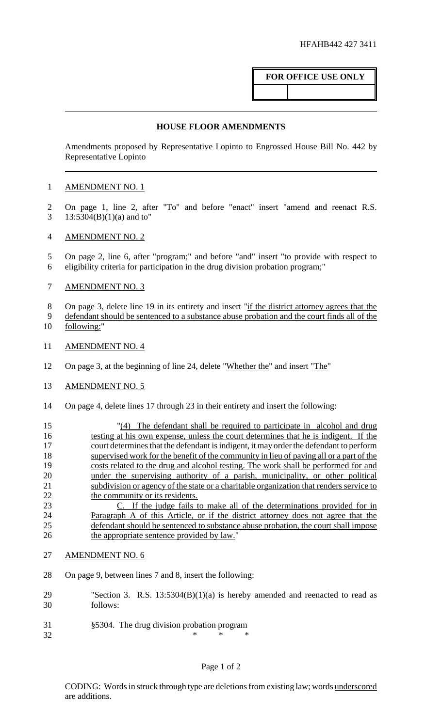# **FOR OFFICE USE ONLY**

#### **HOUSE FLOOR AMENDMENTS**

Amendments proposed by Representative Lopinto to Engrossed House Bill No. 442 by Representative Lopinto

### 1 AMENDMENT NO. 1

2 On page 1, line 2, after "To" and before "enact" insert "amend and reenact R.S. 3 13:5304(B)(1)(a) and to"

### 4 AMENDMENT NO. 2

5 On page 2, line 6, after "program;" and before "and" insert "to provide with respect to 6 eligibility criteria for participation in the drug division probation program;"

## 7 AMENDMENT NO. 3

8 On page 3, delete line 19 in its entirety and insert "if the district attorney agrees that the

- 9 defendant should be sentenced to a substance abuse probation and the court finds all of the 10 following:"
- 11 AMENDMENT NO. 4
- 12 On page 3, at the beginning of line 24, delete "Whether the" and insert "The"
- 13 AMENDMENT NO. 5
- 14 On page 4, delete lines 17 through 23 in their entirety and insert the following:

15 "(4) The defendant shall be required to participate in alcohol and drug 16 testing at his own expense, unless the court determines that he is indigent. If the 17 court determines that the defendant is indigent, it may order the defendant to perform 18 supervised work for the benefit of the community in lieu of paying all or a part of the 19 costs related to the drug and alcohol testing. The work shall be performed for and 20 under the supervising authority of a parish, municipality, or other political 21 subdivision or agency of the state or a charitable organization that renders service to 22 the community or its residents.

23 C. If the judge fails to make all of the determinations provided for in Paragraph A of this Article, or if the district attorney does not agree that the defendant should be sentenced to substance abuse probation, the court shall impose the appropriate sentence provided by law."

### 27 AMENDMENT NO. 6

- 28 On page 9, between lines 7 and 8, insert the following:
- 29 "Section 3. R.S. 13:5304(B)(1)(a) is hereby amended and reenacted to read as 30 follows:
- 31 §5304. The drug division probation program
- 32  $*$  \* \* \*